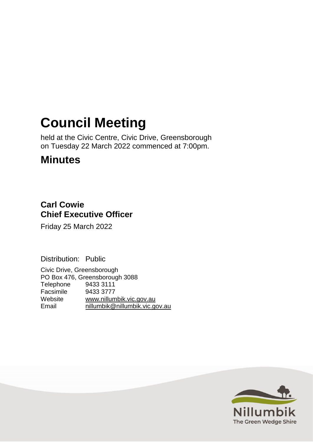# **Council Meeting**

held at the Civic Centre, Civic Drive, Greensborough on Tuesday 22 March 2022 commenced at 7:00pm.

## **Minutes**

## **Carl Cowie Chief Executive Officer**

Friday 25 March 2022

Distribution: Public

Civic Drive, Greensborough PO Box 476, Greensborough 3088 Telephone 9433 3111 Facsimile 9433 3777 Website [www.nillumbik.vic.gov.au](http://www.nillumbik.vic.gov.au/) Email [nillumbik@nillumbik.vic.gov.au](mailto:nillumbik@nillumbik.vic.gov.au)

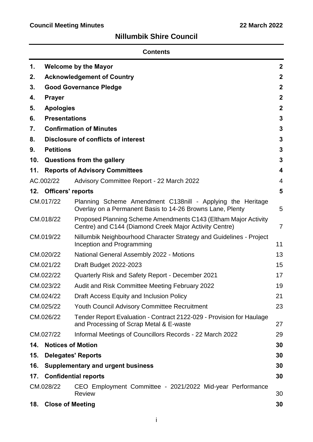## **Nillumbik Shire Council**

| <b>Contents</b> |                                   |                                                                                                                           |                  |
|-----------------|-----------------------------------|---------------------------------------------------------------------------------------------------------------------------|------------------|
| 1.              | <b>Welcome by the Mayor</b>       |                                                                                                                           |                  |
| 2.              | <b>Acknowledgement of Country</b> |                                                                                                                           |                  |
| 3.              | <b>Good Governance Pledge</b>     |                                                                                                                           |                  |
| 4.              | <b>Prayer</b>                     |                                                                                                                           | $\boldsymbol{2}$ |
| 5.              | <b>Apologies</b>                  |                                                                                                                           | $\mathbf 2$      |
| 6.              | <b>Presentations</b>              |                                                                                                                           | 3                |
| 7.              |                                   | <b>Confirmation of Minutes</b>                                                                                            | 3                |
| 8.              |                                   | <b>Disclosure of conflicts of interest</b>                                                                                | 3                |
| 9.              | <b>Petitions</b>                  |                                                                                                                           | 3                |
| 10.             |                                   | Questions from the gallery                                                                                                | 3                |
| 11.             |                                   | <b>Reports of Advisory Committees</b>                                                                                     | 4                |
|                 | AC.002/22                         | Advisory Committee Report - 22 March 2022                                                                                 | $\overline{4}$   |
| 12.             | <b>Officers' reports</b>          |                                                                                                                           | 5                |
|                 | CM.017/22                         | Planning Scheme Amendment C138nill - Applying the Heritage<br>Overlay on a Permanent Basis to 14-26 Browns Lane, Plenty   | 5                |
| CM.018/22       |                                   | Proposed Planning Scheme Amendments C143 (Eltham Major Activity<br>Centre) and C144 (Diamond Creek Major Activity Centre) | $\overline{7}$   |
|                 | CM.019/22                         | Nillumbik Neighbourhood Character Strategy and Guidelines - Project<br>Inception and Programming                          | 11               |
|                 | CM.020/22                         | National General Assembly 2022 - Motions                                                                                  | 13               |
|                 | CM.021/22                         | <b>Draft Budget 2022-2023</b>                                                                                             | 15               |
|                 | CM.022/22                         | Quarterly Risk and Safety Report - December 2021                                                                          | 17               |
|                 | CM.023/22                         | Audit and Risk Committee Meeting February 2022                                                                            | 19               |
|                 | CM.024/22                         | Draft Access Equity and Inclusion Policy                                                                                  | 21               |
|                 | CM.025/22                         | <b>Youth Council Advisory Committee Recruitment</b>                                                                       | 23               |
| CM.026/22       |                                   | Tender Report Evaluation - Contract 2122-029 - Provision for Haulage<br>and Processing of Scrap Metal & E-waste           | 27               |
|                 | CM.027/22                         | Informal Meetings of Councillors Records - 22 March 2022                                                                  | 29               |
| 14.             | <b>Notices of Motion</b>          |                                                                                                                           | 30               |
| 15.             | <b>Delegates' Reports</b>         |                                                                                                                           | 30               |
| 16.             |                                   | <b>Supplementary and urgent business</b>                                                                                  | 30               |
| 17.             |                                   | <b>Confidential reports</b>                                                                                               | 30               |
|                 | CM.028/22                         | CEO Employment Committee - 2021/2022 Mid-year Performance<br><b>Review</b>                                                | 30               |
| 18.             | <b>Close of Meeting</b>           |                                                                                                                           | 30               |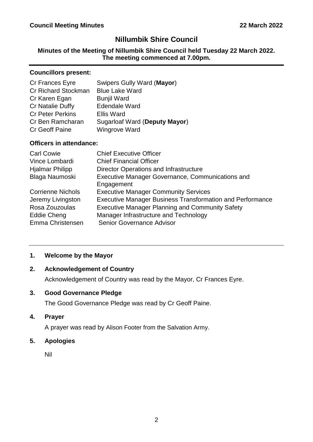## **Nillumbik Shire Council**

#### **Minutes of the Meeting of Nillumbik Shire Council held Tuesday 22 March 2022. The meeting commenced at 7.00pm.**

#### **Councillors present:**

| Swipers Gully Ward (Mayor)    |
|-------------------------------|
| <b>Blue Lake Ward</b>         |
| <b>Bunjil Ward</b>            |
| <b>Edendale Ward</b>          |
| <b>Ellis Ward</b>             |
| Sugarloaf Ward (Deputy Mayor) |
| <b>Wingrove Ward</b>          |
|                               |

#### **Officers in attendance:**

| <b>Carl Cowie</b>        | <b>Chief Executive Officer</b>                                   |
|--------------------------|------------------------------------------------------------------|
| Vince Lombardi           | <b>Chief Financial Officer</b>                                   |
| <b>Hjalmar Philipp</b>   | <b>Director Operations and Infrastructure</b>                    |
| Blaga Naumoski           | Executive Manager Governance, Communications and<br>Engagement   |
| <b>Corrienne Nichols</b> | <b>Executive Manager Community Services</b>                      |
| Jeremy Livingston        | <b>Executive Manager Business Transformation and Performance</b> |
| Rosa Zouzoulas           | <b>Executive Manager Planning and Community Safety</b>           |
| Eddie Cheng              | Manager Infrastructure and Technology                            |
| Emma Christensen         | Senior Governance Advisor                                        |

#### <span id="page-2-0"></span>**1. Welcome by the Mayor**

#### <span id="page-2-1"></span>**2. Acknowledgement of Country**

Acknowledgement of Country was read by the Mayor, Cr Frances Eyre.

#### <span id="page-2-2"></span>**3. Good Governance Pledge**

The Good Governance Pledge was read by Cr Geoff Paine.

<span id="page-2-3"></span>**4. Prayer**

A prayer was read by Alison Footer from the Salvation Army.

<span id="page-2-4"></span>**5. Apologies**

Nil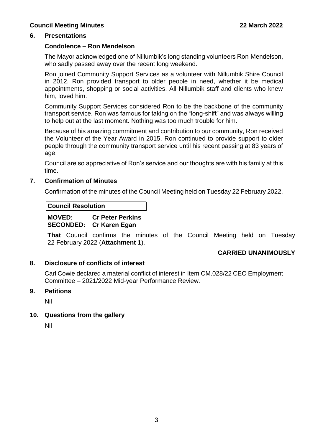#### <span id="page-3-0"></span>**6. Presentations**

#### **Condolence – Ron Mendelson**

The Mayor acknowledged one of Nillumbik's long standing volunteers Ron Mendelson, who sadly passed away over the recent long weekend.

Ron joined Community Support Services as a volunteer with Nillumbik Shire Council in 2012. Ron provided transport to older people in need, whether it be medical appointments, shopping or social activities. All Nillumbik staff and clients who knew him, loved him.

Community Support Services considered Ron to be the backbone of the community transport service. Ron was famous for taking on the "long-shift" and was always willing to help out at the last moment. Nothing was too much trouble for him.

Because of his amazing commitment and contribution to our community, Ron received the Volunteer of the Year Award in 2015. Ron continued to provide support to older people through the community transport service until his recent passing at 83 years of age.

Council are so appreciative of Ron's service and our thoughts are with his family at this time.

#### <span id="page-3-1"></span>**7. Confirmation of Minutes**

Confirmation of the minutes of the Council Meeting held on Tuesday 22 February 2022.

#### **Council Resolution**

#### **MOVED: Cr Peter Perkins SECONDED: Cr Karen Egan**

**That** Council confirms the minutes of the Council Meeting held on Tuesday 22 February 2022 (**Attachment 1**).

#### **CARRIED UNANIMOUSLY**

#### <span id="page-3-2"></span>**8. Disclosure of conflicts of interest**

Carl Cowie declared a material conflict of interest in Item CM.028/22 CEO Employment Committee – 2021/2022 Mid-year Performance Review.

#### <span id="page-3-3"></span>**9. Petitions**

Nil

#### <span id="page-3-4"></span>**10. Questions from the gallery**

Nil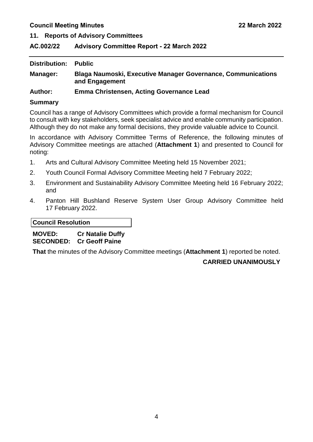<span id="page-4-0"></span>**11. Reports of Advisory Committees**

#### <span id="page-4-1"></span>**AC.002/22 Advisory Committee Report - 22 March 2022**

| Distribution:  | <b>Public</b>                                                                         |
|----------------|---------------------------------------------------------------------------------------|
| Manager:       | <b>Blaga Naumoski, Executive Manager Governance, Communications</b><br>and Engagement |
| <b>Author:</b> | <b>Emma Christensen, Acting Governance Lead</b>                                       |

#### **Summary**

Council has a range of Advisory Committees which provide a formal mechanism for Council to consult with key stakeholders, seek specialist advice and enable community participation. Although they do not make any formal decisions, they provide valuable advice to Council.

In accordance with Advisory Committee Terms of Reference, the following minutes of Advisory Committee meetings are attached (**Attachment 1**) and presented to Council for noting:

- 1. Arts and Cultural Advisory Committee Meeting held 15 November 2021;
- 2. Youth Council Formal Advisory Committee Meeting held 7 February 2022;
- 3. Environment and Sustainability Advisory Committee Meeting held 16 February 2022; and
- 4. Panton Hill Bushland Reserve System User Group Advisory Committee held 17 February 2022.

#### **Council Resolution**

**MOVED: Cr Natalie Duffy SECONDED: Cr Geoff Paine** 

**That** the minutes of the Advisory Committee meetings (**Attachment 1**) reported be noted.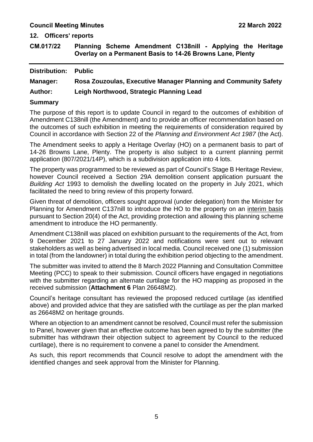<span id="page-5-0"></span>**12. Officers' reports**

<span id="page-5-1"></span>**CM.017/22 Planning Scheme Amendment C138nill - Applying the Heritage Overlay on a Permanent Basis to 14-26 Browns Lane, Plenty**

| <b>Distribution:</b> | <b>Public</b>                                                   |
|----------------------|-----------------------------------------------------------------|
| <b>Manager:</b>      | Rosa Zouzoulas, Executive Manager Planning and Community Safety |
| <b>Author:</b>       | Leigh Northwood, Strategic Planning Lead                        |
|                      |                                                                 |

#### **Summary**

The purpose of this report is to update Council in regard to the outcomes of exhibition of Amendment C138nill (the Amendment) and to provide an officer recommendation based on the outcomes of such exhibition in meeting the requirements of consideration required by Council in accordance with Section 22 of the *Planning and Environment Act 1987* (the Act).

The Amendment seeks to apply a Heritage Overlay (HO) on a permanent basis to part of 14-26 Browns Lane, Plenty. The property is also subject to a current planning permit application (807/2021/14P), which is a subdivision application into 4 lots.

The property was programmed to be reviewed as part of Council's Stage B Heritage Review, however Council received a Section 29A demolition consent application pursuant the *Building Act* 1993 to demolish the dwelling located on the property in July 2021, which facilitated the need to bring review of this property forward.

Given threat of demolition, officers sought approval (under delegation) from the Minister for Planning for Amendment C137nill to introduce the HO to the property on an interim basis pursuant to Section 20(4) of the Act, providing protection and allowing this planning scheme amendment to introduce the HO permanently.

Amendment C138nill was placed on exhibition pursuant to the requirements of the Act, from 9 December 2021 to 27 January 2022 and notifications were sent out to relevant stakeholders as well as being advertised in local media. Council received one (1) submission in total (from the landowner) in total during the exhibition period objecting to the amendment.

The submitter was invited to attend the 8 March 2022 Planning and Consultation Committee Meeting (PCC) to speak to their submission. Council officers have engaged in negotiations with the submitter regarding an alternate curtilage for the HO mapping as proposed in the received submission (**Attachment 6** Plan 26648M2).

Council's heritage consultant has reviewed the proposed reduced curtilage (as identified above) and provided advice that they are satisfied with the curtilage as per the plan marked as 26648M2 on heritage grounds.

Where an objection to an amendment cannot be resolved, Council must refer the submission to Panel, however given that an effective outcome has been agreed to by the submitter (the submitter has withdrawn their objection subject to agreement by Council to the reduced curtilage), there is no requirement to convene a panel to consider the Amendment.

As such, this report recommends that Council resolve to adopt the amendment with the identified changes and seek approval from the Minister for Planning.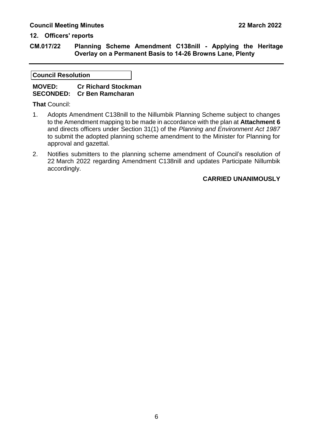#### **12. Officers' reports**

**CM.017/22 Planning Scheme Amendment C138nill - Applying the Heritage Overlay on a Permanent Basis to 14-26 Browns Lane, Plenty**

#### **Council Resolution**

#### **MOVED: Cr Richard Stockman SECONDED: Cr Ben Ramcharan**

**That** Council:

- 1. Adopts Amendment C138nill to the Nillumbik Planning Scheme subject to changes to the Amendment mapping to be made in accordance with the plan at **Attachment 6** and directs officers under Section 31(1) of the *Planning and Environment Act 1987* to submit the adopted planning scheme amendment to the Minister for Planning for approval and gazettal.
- 2. Notifies submitters to the planning scheme amendment of Council's resolution of 22 March 2022 regarding Amendment C138nill and updates Participate Nillumbik accordingly.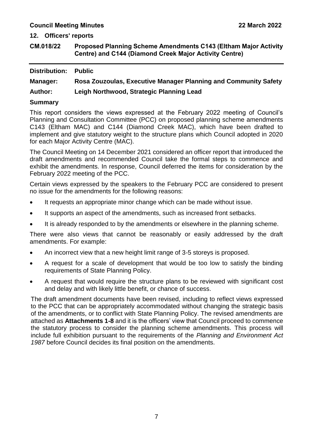#### **12. Officers' reports**

<span id="page-7-0"></span>**CM.018/22 Proposed Planning Scheme Amendments C143 (Eltham Major Activity Centre) and C144 (Diamond Creek Major Activity Centre)**

| <b>Distribution:</b> | <b>Public</b>                                                   |
|----------------------|-----------------------------------------------------------------|
| <b>Manager:</b>      | Rosa Zouzoulas, Executive Manager Planning and Community Safety |
| <b>Author:</b>       | Leigh Northwood, Strategic Planning Lead                        |
| <b>Summary</b>       |                                                                 |

This report considers the views expressed at the February 2022 meeting of Council's Planning and Consultation Committee (PCC) on proposed planning scheme amendments C143 (Eltham MAC) and C144 (Diamond Creek MAC), which have been drafted to implement and give statutory weight to the structure plans which Council adopted in 2020 for each Major Activity Centre (MAC).

The Council Meeting on 14 December 2021 considered an officer report that introduced the draft amendments and recommended Council take the formal steps to commence and exhibit the amendments. In response, Council deferred the items for consideration by the February 2022 meeting of the PCC.

Certain views expressed by the speakers to the February PCC are considered to present no issue for the amendments for the following reasons:

- It requests an appropriate minor change which can be made without issue.
- It supports an aspect of the amendments, such as increased front setbacks.
- It is already responded to by the amendments or elsewhere in the planning scheme.

There were also views that cannot be reasonably or easily addressed by the draft amendments. For example:

- An incorrect view that a new height limit range of 3-5 storeys is proposed.
- A request for a scale of development that would be too low to satisfy the binding requirements of State Planning Policy.
- A request that would require the structure plans to be reviewed with significant cost and delay and with likely little benefit, or chance of success.

The draft amendment documents have been revised, including to reflect views expressed to the PCC that can be appropriately accommodated without changing the strategic basis of the amendments, or to conflict with State Planning Policy. The revised amendments are attached as **Attachments 1-8** and it is the officers' view that Council proceed to commence the statutory process to consider the planning scheme amendments. This process will include full exhibition pursuant to the requirements of the *Planning and Environment Act 1987* before Council decides its final position on the amendments.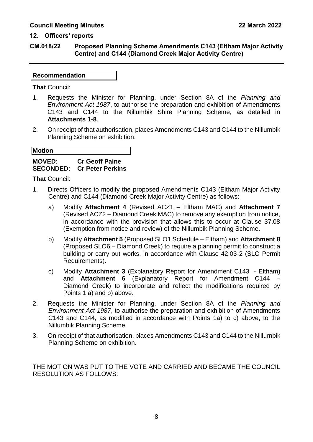#### **CM.018/22 Proposed Planning Scheme Amendments C143 (Eltham Major Activity Centre) and C144 (Diamond Creek Major Activity Centre)**

#### **Recommendation**

**That** Council:

- 1. Requests the Minister for Planning, under Section 8A of the *Planning and Environment Act 1987*, to authorise the preparation and exhibition of Amendments C143 and C144 to the Nillumbik Shire Planning Scheme, as detailed in **Attachments 1-8**.
- 2. On receipt of that authorisation, places Amendments C143 and C144 to the Nillumbik Planning Scheme on exhibition.

| <b>Motion</b> |  |  |
|---------------|--|--|

#### **MOVED: Cr Geoff Paine SECONDED: Cr Peter Perkins**

**That** Council:

- 1. Directs Officers to modify the proposed Amendments C143 (Eltham Major Activity Centre) and C144 (Diamond Creek Major Activity Centre) as follows:
	- a) Modify **Attachment 4** (Revised ACZ1 Eltham MAC) and **Attachment 7** (Revised ACZ2 – Diamond Creek MAC) to remove any exemption from notice, in accordance with the provision that allows this to occur at Clause 37.08 (Exemption from notice and review) of the Nillumbik Planning Scheme.
	- b) Modify **Attachment 5** (Proposed SLO1 Schedule Eltham) and **Attachment 8** (Proposed SLO6 – Diamond Creek) to require a planning permit to construct a building or carry out works, in accordance with Clause 42.03-2 (SLO Permit Requirements).
	- c) Modify **Attachment 3** (Explanatory Report for Amendment C143 Eltham) and **Attachment 6** (Explanatory Report for Amendment C144 – Diamond Creek) to incorporate and reflect the modifications required by Points 1 a) and b) above.
- 2. Requests the Minister for Planning, under Section 8A of the *Planning and Environment Act 1987*, to authorise the preparation and exhibition of Amendments C143 and C144, as modified in accordance with Points 1a) to c) above, to the Nillumbik Planning Scheme.
- 3. On receipt of that authorisation, places Amendments C143 and C144 to the Nillumbik Planning Scheme on exhibition.

THE MOTION WAS PUT TO THE VOTE AND CARRIED AND BECAME THE COUNCIL RESOLUTION AS FOLLOWS: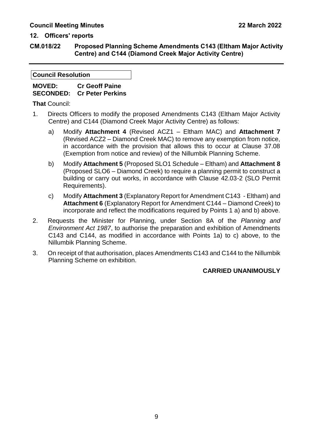**CM.018/22 Proposed Planning Scheme Amendments C143 (Eltham Major Activity Centre) and C144 (Diamond Creek Major Activity Centre)**

#### **Council Resolution**

#### **MOVED: Cr Geoff Paine SECONDED: Cr Peter Perkins**

**That** Council:

- 1. Directs Officers to modify the proposed Amendments C143 (Eltham Major Activity Centre) and C144 (Diamond Creek Major Activity Centre) as follows:
	- a) Modify **Attachment 4** (Revised ACZ1 Eltham MAC) and **Attachment 7** (Revised ACZ2 – Diamond Creek MAC) to remove any exemption from notice, in accordance with the provision that allows this to occur at Clause 37.08 (Exemption from notice and review) of the Nillumbik Planning Scheme.
	- b) Modify **Attachment 5** (Proposed SLO1 Schedule Eltham) and **Attachment 8** (Proposed SLO6 – Diamond Creek) to require a planning permit to construct a building or carry out works, in accordance with Clause 42.03-2 (SLO Permit Requirements).
	- c) Modify **Attachment 3** (Explanatory Report for Amendment C143 Eltham) and **Attachment 6** (Explanatory Report for Amendment C144 – Diamond Creek) to incorporate and reflect the modifications required by Points 1 a) and b) above.
- 2. Requests the Minister for Planning, under Section 8A of the *Planning and Environment Act 1987*, to authorise the preparation and exhibition of Amendments C143 and C144, as modified in accordance with Points 1a) to c) above, to the Nillumbik Planning Scheme.
- 3. On receipt of that authorisation, places Amendments C143 and C144 to the Nillumbik Planning Scheme on exhibition.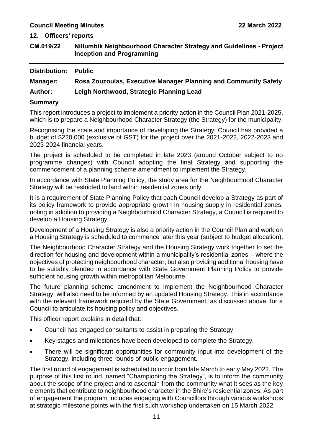**12. Officers' reports**

<span id="page-11-0"></span>

| CM.019/22 | Nillumbik Neighbourhood Character Strategy and Guidelines - Project |
|-----------|---------------------------------------------------------------------|
|           | <b>Inception and Programming</b>                                    |

| <b>Distribution:</b> | <b>Public</b>                                                   |
|----------------------|-----------------------------------------------------------------|
| <b>Manager:</b>      | Rosa Zouzoulas, Executive Manager Planning and Community Safety |
| <b>Author:</b>       | Leigh Northwood, Strategic Planning Lead                        |
|                      |                                                                 |

#### **Summary**

This report introduces a project to implement a priority action in the Council Plan 2021-2025, which is to prepare a Neighbourhood Character Strategy (the Strategy) for the municipality.

Recognising the scale and importance of developing the Strategy, Council has provided a budget of \$220,000 (exclusive of GST) for the project over the 2021-2022, 2022-2023 and 2023-2024 financial years.

The project is scheduled to be completed in late 2023 (around October subject to no programme changes) with Council adopting the final Strategy and supporting the commencement of a planning scheme amendment to implement the Strategy.

In accordance with State Planning Policy, the study area for the Neighbourhood Character Strategy will be restricted to land within residential zones only.

It is a requirement of State Planning Policy that each Council develop a Strategy as part of its policy framework to provide appropriate growth in housing supply in residential zones, noting in addition to providing a Neighbourhood Character Strategy, a Council is required to develop a Housing Strategy.

Development of a Housing Strategy is also a priority action in the Council Plan and work on a Housing Strategy is scheduled to commence later this year (subject to budget allocation).

The Neighbourhood Character Strategy and the Housing Strategy work together to set the direction for housing and development within a municipality's residential zones – where the objectives of protecting neighbourhood character, but also providing additional housing have to be suitably blended in accordance with State Government Planning Policy to provide sufficient housing growth within metropolitan Melbourne.

The future planning scheme amendment to implement the Neighbourhood Character Strategy, will also need to be informed by an updated Housing Strategy. This in accordance with the relevant framework required by the State Government, as discussed above, for a Council to articulate its housing policy and objectives.

This officer report explains in detail that:

- Council has engaged consultants to assist in preparing the Strategy.
- Key stages and milestones have been developed to complete the Strategy.
- There will be significant opportunities for community input into development of the Strategy, including three rounds of public engagement.

The first round of engagement is scheduled to occur from late March to early May 2022. The purpose of this first round, named "Championing the Strategy", is to inform the community about the scope of the project and to ascertain from the community what it sees as the key elements that contribute to neighbourhood character in the Shire's residential zones. As part of engagement the program includes engaging with Councillors through various workshops at strategic milestone points with the first such workshop undertaken on 15 March 2022.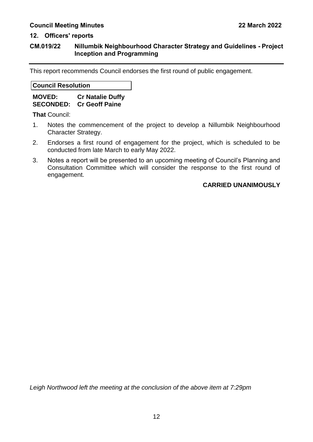#### **CM.019/22 Nillumbik Neighbourhood Character Strategy and Guidelines - Project Inception and Programming**

This report recommends Council endorses the first round of public engagement.

**Council Resolution**

**MOVED: Cr Natalie Duffy SECONDED: Cr Geoff Paine** 

**That** Council:

- 1. Notes the commencement of the project to develop a Nillumbik Neighbourhood Character Strategy.
- 2. Endorses a first round of engagement for the project, which is scheduled to be conducted from late March to early May 2022.
- 3. Notes a report will be presented to an upcoming meeting of Council's Planning and Consultation Committee which will consider the response to the first round of engagement.

#### **CARRIED UNANIMOUSLY**

*Leigh Northwood left the meeting at the conclusion of the above item at 7:29pm*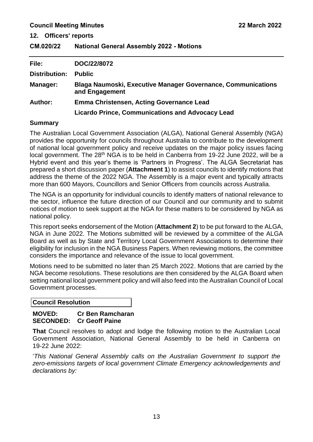**12. Officers' reports**

<span id="page-13-0"></span>**CM.020/22 National General Assembly 2022 - Motions**

| File:                | DOC/22/8072                                                                           |
|----------------------|---------------------------------------------------------------------------------------|
| <b>Distribution:</b> | <b>Public</b>                                                                         |
| <b>Manager:</b>      | <b>Blaga Naumoski, Executive Manager Governance, Communications</b><br>and Engagement |
| <b>Author:</b>       | <b>Emma Christensen, Acting Governance Lead</b>                                       |
|                      | <b>Licardo Prince, Communications and Advocacy Lead</b>                               |

#### **Summary**

The Australian Local Government Association (ALGA), National General Assembly (NGA) provides the opportunity for councils throughout Australia to contribute to the development of national local government policy and receive updates on the major policy issues facing local government. The 28<sup>th</sup> NGA is to be held in Canberra from 19-22 June 2022, will be a Hybrid event and this year's theme is 'Partners in Progress'. The ALGA Secretariat has prepared a short discussion paper (**Attachment 1**) to assist councils to identify motions that address the theme of the 2022 NGA. The Assembly is a major event and typically attracts more than 600 Mayors, Councillors and Senior Officers from councils across Australia.

The NGA is an opportunity for individual councils to identify matters of national relevance to the sector, influence the future direction of our Council and our community and to submit notices of motion to seek support at the NGA for these matters to be considered by NGA as national policy.

This report seeks endorsement of the Motion (**Attachment 2**) to be put forward to the ALGA, NGA in June 2022. The Motions submitted will be reviewed by a committee of the ALGA Board as well as by State and Territory Local Government Associations to determine their eligibility for inclusion in the NGA Business Papers. When reviewing motions, the committee considers the importance and relevance of the issue to local government.

Motions need to be submitted no later than 25 March 2022. Motions that are carried by the NGA become resolutions. These resolutions are then considered by the ALGA Board when setting national local government policy and will also feed into the Australian Council of Local Government processes.

**Council Resolution**

#### **MOVED: Cr Ben Ramcharan SECONDED: Cr Geoff Paine**

**That** Council resolves to adopt and lodge the following motion to the Australian Local Government Association, National General Assembly to be held in Canberra on 19-22 June 2022:

'*This National General Assembly calls on the Australian Government to support the zero-emissions targets of local government Climate Emergency acknowledgements and declarations by:*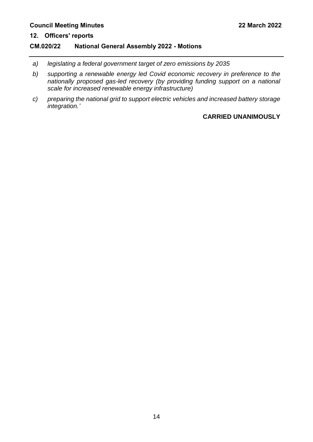### **12. Officers' reports**

#### **CM.020/22 National General Assembly 2022 - Motions**

- *a) legislating a federal government target of zero emissions by 2035*
- *b) supporting a renewable energy led Covid economic recovery in preference to the nationally proposed gas-led recovery (by providing funding support on a national scale for increased renewable energy infrastructure)*
- *c) preparing the national grid to support electric vehicles and increased battery storage integration.'*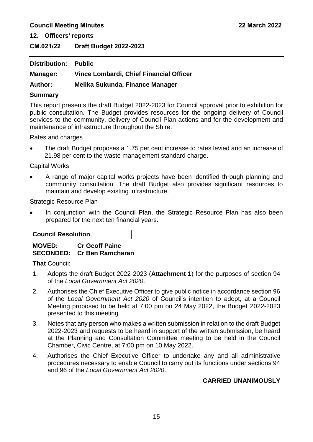**12. Officers' reports**

<span id="page-15-0"></span>**CM.021/22 Draft Budget 2022-2023**

| <b>Distribution: Public</b> |                                         |
|-----------------------------|-----------------------------------------|
| Manager:                    | Vince Lombardi, Chief Financial Officer |
| <b>Author:</b>              | Melika Sukunda, Finance Manager         |

#### **Summary**

This report presents the draft Budget 2022-2023 for Council approval prior to exhibition for public consultation. The Budget provides resources for the ongoing delivery of Council services to the community, delivery of Council Plan actions and for the development and maintenance of infrastructure throughout the Shire.

Rates and charges

 The draft Budget proposes a 1.75 per cent increase to rates levied and an increase of 21.98 per cent to the waste management standard charge.

Capital Works

 A range of major capital works projects have been identified through planning and community consultation. The draft Budget also provides significant resources to maintain and develop existing infrastructure.

Strategic Resource Plan

 In conjunction with the Council Plan, the Strategic Resource Plan has also been prepared for the next ten financial years.

#### **Council Resolution**

#### **MOVED: Cr Geoff Paine SECONDED: Cr Ben Ramcharan**

**That** Council:

- 1. Adopts the draft Budget 2022-2023 (**Attachment 1**) for the purposes of section 94 of the *Local Government Act 2020*.
- 2. Authorises the Chief Executive Officer to give public notice in accordance section 96 of the *Local Government Act 2020* of Council's intention to adopt, at a Council Meeting proposed to be held at 7:00 pm on 24 May 2022, the Budget 2022-2023 presented to this meeting.
- 3. Notes that any person who makes a written submission in relation to the draft Budget 2022-2023 and requests to be heard in support of the written submission, be heard at the Planning and Consultation Committee meeting to be held in the Council Chamber, Civic Centre, at 7:00 pm on 10 May 2022.
- 4. Authorises the Chief Executive Officer to undertake any and all administrative procedures necessary to enable Council to carry out its functions under sections 94 and 96 of the *Local Government Act 2020*.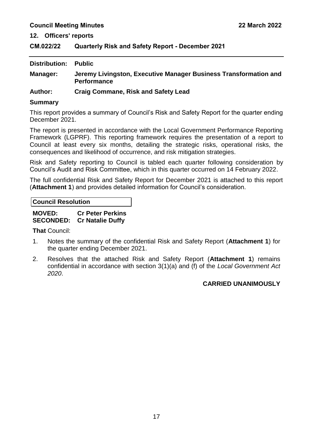**12. Officers' reports**

<span id="page-17-0"></span>**CM.022/22 Quarterly Risk and Safety Report - December 2021**

| Distribution: | <b>Public</b>                                                                          |
|---------------|----------------------------------------------------------------------------------------|
| Manager:      | Jeremy Livingston, Executive Manager Business Transformation and<br><b>Performance</b> |
| $A$ thor      | Croig Commons Dick and Cafety Load                                                     |

**Author: Craig Commane, Risk and Safety Lead** 

#### **Summary**

This report provides a summary of Council's Risk and Safety Report for the quarter ending December 2021.

The report is presented in accordance with the Local Government Performance Reporting Framework (LGPRF). This reporting framework requires the presentation of a report to Council at least every six months, detailing the strategic risks, operational risks, the consequences and likelihood of occurrence, and risk mitigation strategies.

Risk and Safety reporting to Council is tabled each quarter following consideration by Council's Audit and Risk Committee, which in this quarter occurred on 14 February 2022.

The full confidential Risk and Safety Report for December 2021 is attached to this report (**Attachment 1**) and provides detailed information for Council's consideration.

**Council Resolution**

| <b>MOVED:</b> | <b>Cr Peter Perkins</b>           |
|---------------|-----------------------------------|
|               | <b>SECONDED:</b> Cr Natalie Duffy |

**That** Council:

- 1. Notes the summary of the confidential Risk and Safety Report (**Attachment 1**) for the quarter ending December 2021.
- 2. Resolves that the attached Risk and Safety Report (**Attachment 1**) remains confidential in accordance with section 3(1)(a) and (f) of the *Local Government Act 2020*.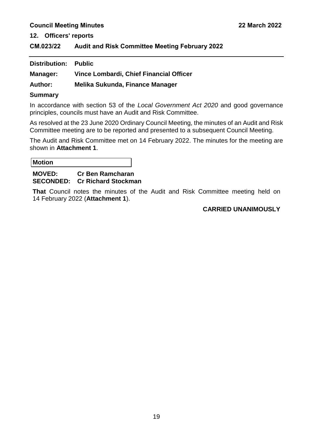**12. Officers' reports**

<span id="page-19-0"></span>**CM.023/22 Audit and Risk Committee Meeting February 2022**

| <b>Distribution: Public</b> |                                         |
|-----------------------------|-----------------------------------------|
| <b>Manager:</b>             | Vince Lombardi, Chief Financial Officer |
| Author:                     | Melika Sukunda, Finance Manager         |

#### **Summary**

In accordance with section 53 of the *Local Government Act 2020* and good governance principles, councils must have an Audit and Risk Committee.

As resolved at the 23 June 2020 Ordinary Council Meeting, the minutes of an Audit and Risk Committee meeting are to be reported and presented to a subsequent Council Meeting.

The Audit and Risk Committee met on 14 February 2022. The minutes for the meeting are shown in **Attachment 1**.

| <b>Motion</b> |         |    |  |
|---------------|---------|----|--|
| $\cdots$      | ~<br>-- | __ |  |

#### **MOVED: Cr Ben Ramcharan SECONDED: Cr Richard Stockman**

**That** Council notes the minutes of the Audit and Risk Committee meeting held on 14 February 2022 (**Attachment 1**).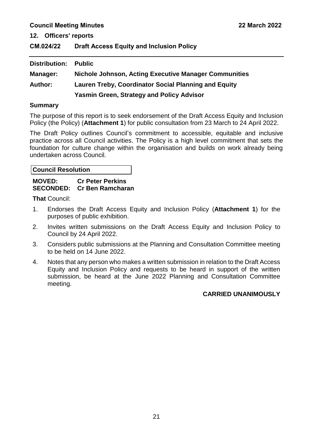**12. Officers' reports**

<span id="page-21-0"></span>

| CM.024/22 | <b>Draft Access Equity and Inclusion Policy</b> |  |
|-----------|-------------------------------------------------|--|
|-----------|-------------------------------------------------|--|

| Distribution:  | <b>Public</b>                                                |
|----------------|--------------------------------------------------------------|
| Manager:       | <b>Nichole Johnson, Acting Executive Manager Communities</b> |
| <b>Author:</b> | <b>Lauren Treby, Coordinator Social Planning and Equity</b>  |
|                | <b>Yasmin Green, Strategy and Policy Advisor</b>             |

#### **Summary**

The purpose of this report is to seek endorsement of the Draft Access Equity and Inclusion Policy (the Policy) (**Attachment 1**) for public consultation from 23 March to 24 April 2022.

The Draft Policy outlines Council's commitment to accessible, equitable and inclusive practice across all Council activities. The Policy is a high level commitment that sets the foundation for culture change within the organisation and builds on work already being undertaken across Council.

**Council Resolution**

#### **MOVED: Cr Peter Perkins SECONDED: Cr Ben Ramcharan**

**That** Council:

- 1. Endorses the Draft Access Equity and Inclusion Policy (**Attachment 1**) for the purposes of public exhibition.
- 2. Invites written submissions on the Draft Access Equity and Inclusion Policy to Council by 24 April 2022.
- 3. Considers public submissions at the Planning and Consultation Committee meeting to be held on 14 June 2022.
- 4. Notes that any person who makes a written submission in relation to the Draft Access Equity and Inclusion Policy and requests to be heard in support of the written submission, be heard at the June 2022 Planning and Consultation Committee meeting.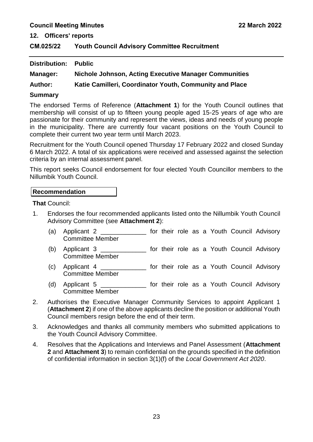**12. Officers' reports**

<span id="page-23-0"></span>**CM.025/22 Youth Council Advisory Committee Recruitment**

| <b>Distribution:</b> | Public                                                  |
|----------------------|---------------------------------------------------------|
| Manager:             | Nichole Johnson, Acting Executive Manager Communities   |
| <b>Author:</b>       | Katie Camilleri, Coordinator Youth, Community and Place |

#### **Summary**

The endorsed Terms of Reference (**Attachment 1**) for the Youth Council outlines that membership will consist of up to fifteen young people aged 15-25 years of age who are passionate for their community and represent the views, ideas and needs of young people in the municipality. There are currently four vacant positions on the Youth Council to complete their current two year term until March 2023.

Recruitment for the Youth Council opened Thursday 17 February 2022 and closed Sunday 6 March 2022. A total of six applications were received and assessed against the selection criteria by an internal assessment panel.

This report seeks Council endorsement for four elected Youth Councillor members to the Nillumbik Youth Council.

#### **Recommendation**

**That** Council:

- 1. Endorses the four recommended applicants listed onto the Nillumbik Youth Council Advisory Committee (see **Attachment 2**):
	- (a) Applicant 2 \_\_\_\_\_\_\_\_\_\_\_\_\_ for their role as a Youth Council Advisory Committee Member
	- (b) Applicant 3 \_\_\_\_\_\_\_\_\_\_\_\_\_ for their role as a Youth Council Advisory Committee Member
	- (c) Applicant 4 \_\_\_\_\_\_\_\_\_\_\_\_\_ for their role as a Youth Council Advisory Committee Member
	- (d) Applicant 5 \_\_\_\_\_\_\_\_\_\_\_\_\_ for their role as a Youth Council Advisory Committee Member
- 2. Authorises the Executive Manager Community Services to appoint Applicant 1 (**Attachment 2**) if one of the above applicants decline the position or additional Youth Council members resign before the end of their term.
- 3. Acknowledges and thanks all community members who submitted applications to the Youth Council Advisory Committee.
- 4. Resolves that the Applications and Interviews and Panel Assessment (**Attachment 2** and **Attachment 3**) to remain confidential on the grounds specified in the definition of confidential information in section 3(1)(f) of the *Local Government Act 2020*.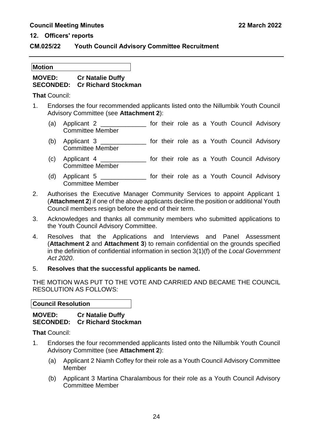#### **CM.025/22 Youth Council Advisory Committee Recruitment**

#### **Motion**

#### **MOVED: Cr Natalie Duffy SECONDED: Cr Richard Stockman**

**That** Council:

- 1. Endorses the four recommended applicants listed onto the Nillumbik Youth Council Advisory Committee (see **Attachment 2**):
	- (a) Applicant 2 **Exercise 1** for their role as a Youth Council Advisory Committee Member
	- (b) Applicant 3 \_\_\_\_\_\_\_\_\_\_\_\_\_ for their role as a Youth Council Advisory Committee Member
	- (c) Applicant 4 \_\_\_\_\_\_\_\_\_\_\_\_\_ for their role as a Youth Council Advisory Committee Member
	- (d) Applicant 5 **business for their role as a Youth Council Advisory** Committee Member
- 2. Authorises the Executive Manager Community Services to appoint Applicant 1 (**Attachment 2**) if one of the above applicants decline the position or additional Youth Council members resign before the end of their term.
- 3. Acknowledges and thanks all community members who submitted applications to the Youth Council Advisory Committee.
- 4. Resolves that the Applications and Interviews and Panel Assessment (**Attachment 2** and **Attachment 3**) to remain confidential on the grounds specified in the definition of confidential information in section 3(1)(f) of the *Local Government Act 2020*.
- 5. **Resolves that the successful applicants be named.**

THE MOTION WAS PUT TO THE VOTE AND CARRIED AND BECAME THE COUNCIL RESOLUTION AS FOLLOWS:

**Council Resolution**

**MOVED: Cr Natalie Duffy SECONDED: Cr Richard Stockman** 

**That** Council:

- 1. Endorses the four recommended applicants listed onto the Nillumbik Youth Council Advisory Committee (see **Attachment 2**):
	- (a) Applicant 2 Niamh Coffey for their role as a Youth Council Advisory Committee Member
	- (b) Applicant 3 Martina Charalambous for their role as a Youth Council Advisory Committee Member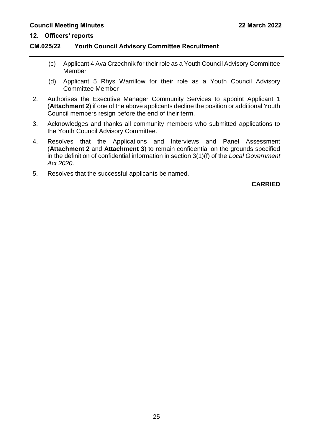#### **CM.025/22 Youth Council Advisory Committee Recruitment**

- (c) Applicant 4 Ava Crzechnik for their role as a Youth Council Advisory Committee Member
- (d) Applicant 5 Rhys Warrillow for their role as a Youth Council Advisory Committee Member
- 2. Authorises the Executive Manager Community Services to appoint Applicant 1 (**Attachment 2**) if one of the above applicants decline the position or additional Youth Council members resign before the end of their term.
- 3. Acknowledges and thanks all community members who submitted applications to the Youth Council Advisory Committee.
- 4. Resolves that the Applications and Interviews and Panel Assessment (**Attachment 2** and **Attachment 3**) to remain confidential on the grounds specified in the definition of confidential information in section 3(1)(f) of the *Local Government Act 2020*.
- 5. Resolves that the successful applicants be named.

**CARRIED**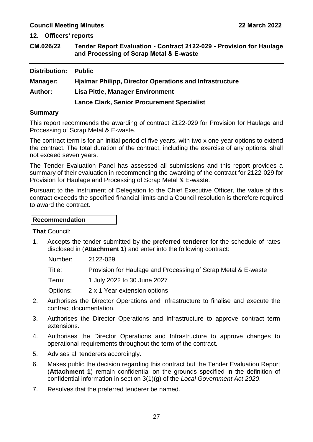**12. Officers' reports**

<span id="page-27-0"></span>

| CM.026/22 | Tender Report Evaluation - Contract 2122-029 - Provision for Haulage |
|-----------|----------------------------------------------------------------------|
|           | and Processing of Scrap Metal & E-waste                              |

| <b>Distribution:</b> | <b>Public</b>                                                  |
|----------------------|----------------------------------------------------------------|
| <b>Manager:</b>      | <b>Hjalmar Philipp, Director Operations and Infrastructure</b> |
| <b>Author:</b>       | <b>Lisa Pittle, Manager Environment</b>                        |
|                      | <b>Lance Clark, Senior Procurement Specialist</b>              |

#### **Summary**

This report recommends the awarding of contract 2122-029 for Provision for Haulage and Processing of Scrap Metal & E-waste.

The contract term is for an initial period of five years, with two x one year options to extend the contract. The total duration of the contract, including the exercise of any options, shall not exceed seven years.

The Tender Evaluation Panel has assessed all submissions and this report provides a summary of their evaluation in recommending the awarding of the contract for 2122-029 for Provision for Haulage and Processing of Scrap Metal & E-waste.

Pursuant to the Instrument of Delegation to the Chief Executive Officer, the value of this contract exceeds the specified financial limits and a Council resolution is therefore required to award the contract.

#### **Recommendation**

**That** Council:

1. Accepts the tender submitted by the **preferred tenderer** for the schedule of rates disclosed in (**Attachment 1**) and enter into the following contract:

Number: 2122-029

Title: Provision for Haulage and Processing of Scrap Metal & E-waste

Term: 1 July 2022 to 30 June 2027

Options: 2 x 1 Year extension options

- 2. Authorises the Director Operations and Infrastructure to finalise and execute the contract documentation.
- 3. Authorises the Director Operations and Infrastructure to approve contract term extensions.
- 4. Authorises the Director Operations and Infrastructure to approve changes to operational requirements throughout the term of the contract.
- 5. Advises all tenderers accordingly.
- 6. Makes public the decision regarding this contract but the Tender Evaluation Report (**Attachment 1**) remain confidential on the grounds specified in the definition of confidential information in section 3(1)(g) of the *Local Government Act 2020*.
- 7. Resolves that the preferred tenderer be named.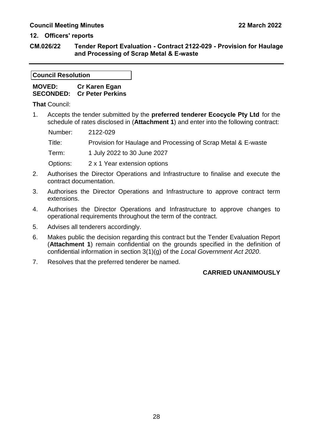#### **12. Officers' reports**

**CM.026/22 Tender Report Evaluation - Contract 2122-029 - Provision for Haulage and Processing of Scrap Metal & E-waste**

#### **Council Resolution**

| <b>MOVED:</b> | Cr Karen Egan                     |
|---------------|-----------------------------------|
|               | <b>SECONDED: Cr Peter Perkins</b> |

**That** Council:

1. Accepts the tender submitted by the **preferred tenderer Ecocycle Pty Ltd** for the schedule of rates disclosed in (**Attachment 1**) and enter into the following contract:

Number: 2122-029 Title: Provision for Haulage and Processing of Scrap Metal & E-waste Term: 1 July 2022 to 30 June 2027 Options: 2 x 1 Year extension options

- 2. Authorises the Director Operations and Infrastructure to finalise and execute the contract documentation.
- 3. Authorises the Director Operations and Infrastructure to approve contract term extensions.
- 4. Authorises the Director Operations and Infrastructure to approve changes to operational requirements throughout the term of the contract.
- 5. Advises all tenderers accordingly.
- 6. Makes public the decision regarding this contract but the Tender Evaluation Report (**Attachment 1**) remain confidential on the grounds specified in the definition of confidential information in section 3(1)(g) of the *Local Government Act 2020*.
- 7. Resolves that the preferred tenderer be named.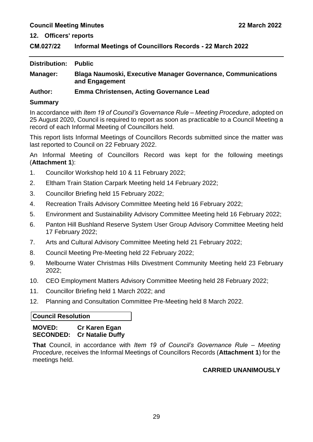#### <span id="page-29-0"></span>**CM.027/22 Informal Meetings of Councillors Records - 22 March 2022**

| Distribution:  | <b>Public</b>                                                                         |
|----------------|---------------------------------------------------------------------------------------|
| Manager:       | <b>Blaga Naumoski, Executive Manager Governance, Communications</b><br>and Engagement |
| <b>Author:</b> | Emma Christensen, Acting Governance Lead                                              |

#### **Summary**

In accordance with *Item 19 of Council's Governance Rule – Meeting Procedure*, adopted on 25 August 2020, Council is required to report as soon as practicable to a Council Meeting a record of each Informal Meeting of Councillors held.

This report lists Informal Meetings of Councillors Records submitted since the matter was last reported to Council on 22 February 2022.

An Informal Meeting of Councillors Record was kept for the following meetings (**Attachment 1**):

- 1. Councillor Workshop held 10 & 11 February 2022;
- 2. Eltham Train Station Carpark Meeting held 14 February 2022;
- 3. Councillor Briefing held 15 February 2022;
- 4. Recreation Trails Advisory Committee Meeting held 16 February 2022;
- 5. Environment and Sustainability Advisory Committee Meeting held 16 February 2022;
- 6. Panton Hill Bushland Reserve System User Group Advisory Committee Meeting held 17 February 2022;
- 7. Arts and Cultural Advisory Committee Meeting held 21 February 2022;
- 8. Council Meeting Pre-Meeting held 22 February 2022;
- 9. Melbourne Water Christmas Hills Divestment Community Meeting held 23 February 2022;
- 10. CEO Employment Matters Advisory Committee Meeting held 28 February 2022;
- 11. Councillor Briefing held 1 March 2022; and
- 12. Planning and Consultation Committee Pre-Meeting held 8 March 2022.

#### **Council Resolution**

#### **MOVED: Cr Karen Egan SECONDED: Cr Natalie Duffy**

**That** Council, in accordance with *Item 19 of Council's Governance Rule – Meeting Procedure*, receives the Informal Meetings of Councillors Records (**Attachment 1**) for the meetings held.